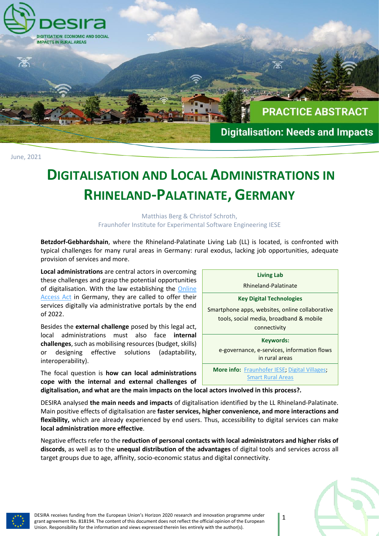

June, 2021

# **DIGITALISATION AND LOCAL ADMINISTRATIONS IN RHINELAND-PALATINATE, GERMANY**

#### Matthias Berg & Christof Schroth, Fraunhofer Institute for Experimental Software Engineering IESE

**Betzdorf-Gebhardshain**, where the Rhineland-Palatinate Living Lab (LL) is located, is confronted with typical challenges for many rural areas in Germany: rural exodus, lacking job opportunities, adequate provision of services and more.

**Local administrations** are central actors in overcoming these challenges and grasp the potential opportunities of digitalisation. With the law establishing the Online [Access Act](https://www.onlinezugangsgesetz.de/Webs/OZG/DE/startseite/startseite-node.html) in Germany, they are called to offer their services digitally via administrative portals by the end of 2022.

Besides the **external challenge** posed by this legal act, local administrations must also face **internal challenges**, such as mobilising resources (budget, skills) or designing effective solutions (adaptability, interoperability).

The focal question is **how can local administrations cope with the internal and external challenges of** 



**digitalisation, and what are the main impacts on the local actors involved in this process?***.* 

DESIRA analysed **the main needs and impacts** of digitalisation identified by the LL Rhineland-Palatinate. Main positive effects of digitalisation are **faster services, higher convenience, and more interactions and flexibility,** which are already experienced by end users. Thus, accessibility to digital services can make **local administration more effective**.

Negative effects refer to the **reduction of personal contacts with local administrators and higher risks of discords**, as well as to the **unequal distribution of the advantages** of digital tools and services across all target groups due to age, affinity, socio-economic status and digital connectivity.

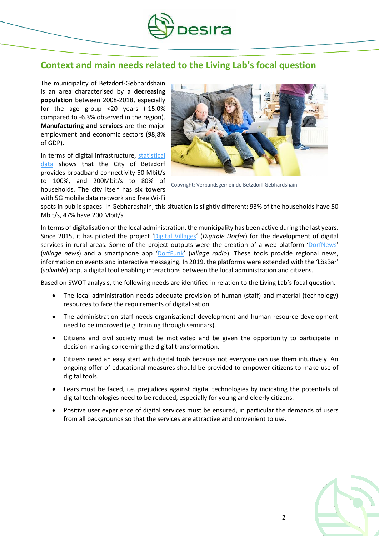

### **Context and main needs related to the Living Lab's focal question**

The municipality of Betzdorf-Gebhardshain is an area characterised by a **decreasing population** between 2008-2018, especially for the age group <20 years (-15.0% compared to -6.3% observed in the region). **Manufacturing and services** are the major employment and economic sectors (98,8% of GDP).

In terms of digital infrastructure, [statistical](https://www.bmvi.de/DE/Themen/Digitales/Breitbandausbau/Breitbandatlas-Karte/start.html)  [data](https://www.bmvi.de/DE/Themen/Digitales/Breitbandausbau/Breitbandatlas-Karte/start.html) shows that the City of Betzdorf provides broadband connectivity 50 Mbit/s to 100%, and 200Mbit/s to 80% of households. The city itself has six towers with 5G mobile data network and free Wi-Fi



Copyright: Verbandsgemeinde Betzdorf-Gebhardshain

spots in public spaces. In Gebhardshain, this situation is slightly different: 93% of the households have 50 Mbit/s, 47% have 200 Mbit/s.

In terms of digitalisation of the local administration, the municipality has been active during the last years. Since 2015, it has piloted the project '[Digital Villages](http://www.digitale-doerfer.de/)' (*Digitale Dörfer*) for the development of digital services in rural areas. Some of the project outputs were the creation of a web platform '[DorfNews](http://www.bg-aktuell.de/)' (*village news*) and a smartphone app '[DorfFunk](http://www.dorf.app/)' (*village radio*). These tools provide regional news, information on events and interactive messaging. In 2019, the platforms were extended with the 'LösBar' (*solvable*) app, a digital tool enabling interactions between the local administration and citizens.

Based on SWOT analysis, the following needs are identified in relation to the Living Lab's focal question.

- The local administration needs adequate provision of human (staff) and material (technology) resources to face the requirements of digitalisation.
- The administration staff needs organisational development and human resource development need to be improved (e.g. training through seminars).
- Citizens and civil society must be motivated and be given the opportunity to participate in decision-making concerning the digital transformation.
- Citizens need an easy start with digital tools because not everyone can use them intuitively. An ongoing offer of educational measures should be provided to empower citizens to make use of digital tools.
- Fears must be faced, i.e. prejudices against digital technologies by indicating the potentials of digital technologies need to be reduced, especially for young and elderly citizens.
- Positive user experience of digital services must be ensured, in particular the demands of users from all backgrounds so that the services are attractive and convenient to use.

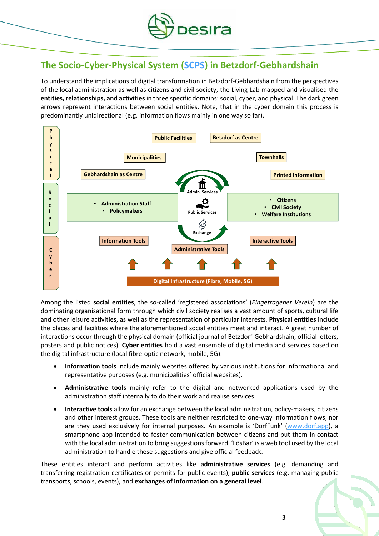

## **The Socio-Cyber-Physical System [\(SCPS\)](https://desira2020.eu/wp-content/uploads/2020/11/Briefing_Socio-Cyber-Physical-Systems.pdf) in Betzdorf-Gebhardshain**

To understand the implications of digital transformation in Betzdorf-Gebhardshain from the perspectives of the local administration as well as citizens and civil society, the Living Lab mapped and visualised the **entities, relationships, and activities** in three specific domains: social, cyber, and physical. The dark green arrows represent interactions between social entities. Note, that in the cyber domain this process is predominantly unidirectional (e.g. information flows mainly in one way so far).



Among the listed **social entities**, the so-called 'registered associations' (*Eingetragener Verein*) are the dominating organisational form through which civil society realises a vast amount of sports, cultural life and other leisure activities, as well as the representation of particular interests. **Physical entities** include the places and facilities where the aforementioned social entities meet and interact. A great number of interactions occur through the physical domain (official journal of Betzdorf-Gebhardshain, official letters, posters and public notices). **Cyber entities** hold a vast ensemble of digital media and services based on the digital infrastructure (local fibre-optic network, mobile, 5G).

- **Information tools** include mainly websites offered by various institutions for informational and representative purposes (e.g. municipalities' official websites).
- **Administrative tools** mainly refer to the digital and networked applications used by the administration staff internally to do their work and realise services.
- **Interactive tools** allow for an exchange between the local administration, policy-makers, citizens and other interest groups. These tools are neither restricted to one-way information flows, nor are they used exclusively for internal purposes. An example is 'DorfFunk' [\(www.dorf.app\)](file://///iese.fhg.de/dfs/projects/Desira-EU/03-Workpackages/WP2/LL%20Report/Ueberarbeitung/www.dorf.app), a smartphone app intended to foster communication between citizens and put them in contact with the local administration to bring suggestions forward. 'LösBar' is a web tool used by the local administration to handle these suggestions and give official feedback.

These entities interact and perform activities like **administrative services** (e.g. demanding and transferring registration certificates or permits for public events), **public services** (e.g. managing public transports, schools, events), and **exchanges of information on a general level**.

3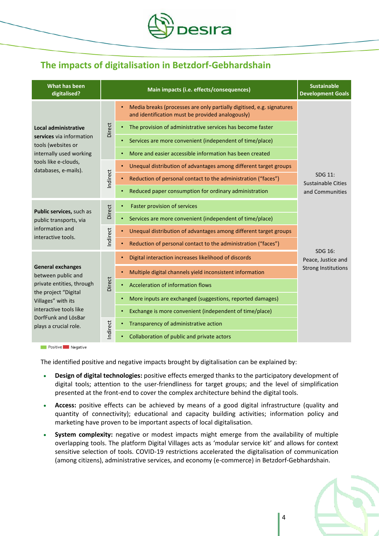

# **The impacts of digitalisation in Betzdorf-Gebhardshain**

| What has been<br>digitalised?                                                                                                                                                                       |          | Main impacts (i.e. effects/consequences)                                                                                  | <b>Sustainable</b><br><b>Development Goals</b>          |
|-----------------------------------------------------------------------------------------------------------------------------------------------------------------------------------------------------|----------|---------------------------------------------------------------------------------------------------------------------------|---------------------------------------------------------|
| <b>Local administrative</b><br>services via information<br>tools (websites or<br>internally used working<br>tools like e-clouds,<br>databases, e-mails).                                            | Direct   | Media breaks (processes are only partially digitised, e.g. signatures<br>and identification must be provided analogously) | SDG 11:<br><b>Sustainable Cities</b><br>and Communities |
|                                                                                                                                                                                                     |          | The provision of administrative services has become faster                                                                |                                                         |
|                                                                                                                                                                                                     |          | Services are more convenient (independent of time/place)<br>٠                                                             |                                                         |
|                                                                                                                                                                                                     |          | More and easier accessible information has been created                                                                   |                                                         |
|                                                                                                                                                                                                     | Indirect | Unequal distribution of advantages among different target groups<br>$\bullet$                                             |                                                         |
|                                                                                                                                                                                                     |          | Reduction of personal contact to the administration ("faces")                                                             |                                                         |
|                                                                                                                                                                                                     |          | Reduced paper consumption for ordinary administration                                                                     |                                                         |
| Public services, such as<br>public transports, via<br>information and<br>interactive tools.                                                                                                         | Direct   | Faster provision of services<br>$\bullet$                                                                                 |                                                         |
|                                                                                                                                                                                                     |          | Services are more convenient (independent of time/place)<br>$\bullet$                                                     |                                                         |
|                                                                                                                                                                                                     | Indirect | Unequal distribution of advantages among different target groups                                                          |                                                         |
|                                                                                                                                                                                                     |          | Reduction of personal contact to the administration ("faces")                                                             |                                                         |
| <b>General exchanges</b><br>between public and<br>private entities, through<br>the project "Digital<br>Villages" with its<br>interactive tools like<br>DorfFunk and LösBar<br>plays a crucial role. | Direct   | Digital interaction increases likelihood of discords                                                                      | SDG 16:<br>Peace, Justice and                           |
|                                                                                                                                                                                                     |          | Multiple digital channels yield inconsistent information<br>$\bullet$                                                     | <b>Strong Institutions</b>                              |
|                                                                                                                                                                                                     |          | Acceleration of information flows                                                                                         |                                                         |
|                                                                                                                                                                                                     |          | More inputs are exchanged (suggestions, reported damages)                                                                 |                                                         |
|                                                                                                                                                                                                     |          | Exchange is more convenient (independent of time/place)<br>$\bullet$                                                      |                                                         |
|                                                                                                                                                                                                     | Indirect | Transparency of administrative action                                                                                     |                                                         |
|                                                                                                                                                                                                     |          | Collaboration of public and private actors                                                                                |                                                         |

Positive Negative

The identified positive and negative impacts brought by digitalisation can be explained by:

- **Design of digital technologies:** positive effects emerged thanks to the participatory development of digital tools; attention to the user-friendliness for target groups; and the level of simplification presented at the front-end to cover the complex architecture behind the digital tools.
- **Access:** positive effects can be achieved by means of a good digital infrastructure (quality and quantity of connectivity); educational and capacity building activities; information policy and marketing have proven to be important aspects of local digitalisation.
- **System complexity:** negative or modest impacts might emerge from the availability of multiple overlapping tools. The platform Digital Villages acts as 'modular service kit' and allows for context sensitive selection of tools. COVID-19 restrictions accelerated the digitalisation of communication (among citizens), administrative services, and economy (e-commerce) in Betzdorf-Gebhardshain.